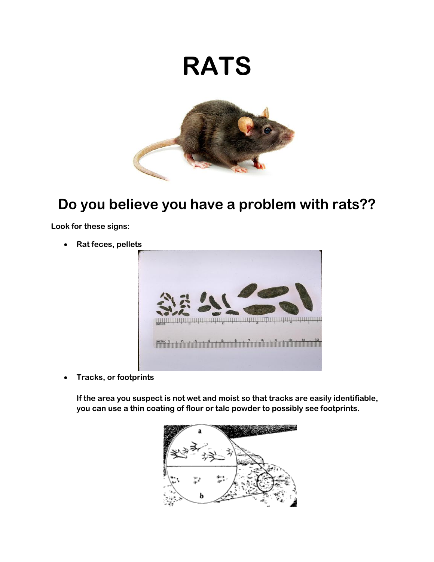## **RATS**



## **Do you believe you have a problem with rats??**

**Look for these signs:**

**Rat feces, pellets** 



**Tracks, or footprints** 

**If the area you suspect is not wet and moist so that tracks are easily identifiable, you can use a thin coating of flour or talc powder to possibly see footprints.**

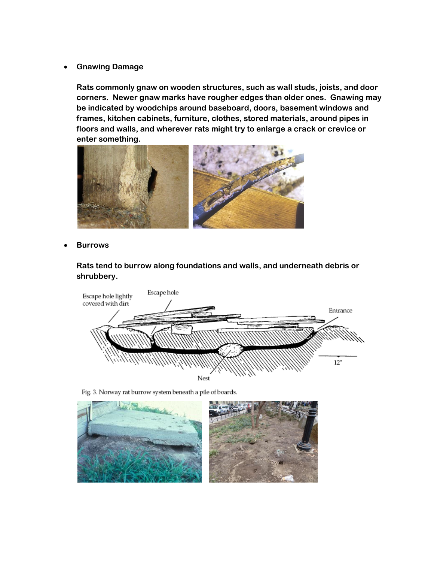**Gnawing Damage**

**Rats commonly gnaw on wooden structures, such as wall studs, joists, and door corners. Newer gnaw marks have rougher edges than older ones. Gnawing may be indicated by woodchips around baseboard, doors, basement windows and frames, kitchen cabinets, furniture, clothes, stored materials, around pipes in floors and walls, and wherever rats might try to enlarge a crack or crevice or enter something.** 



**Burrows**

**Rats tend to burrow along foundations and walls, and underneath debris or shrubbery.**



Fig. 3. Norway rat burrow system beneath a pile of boards.